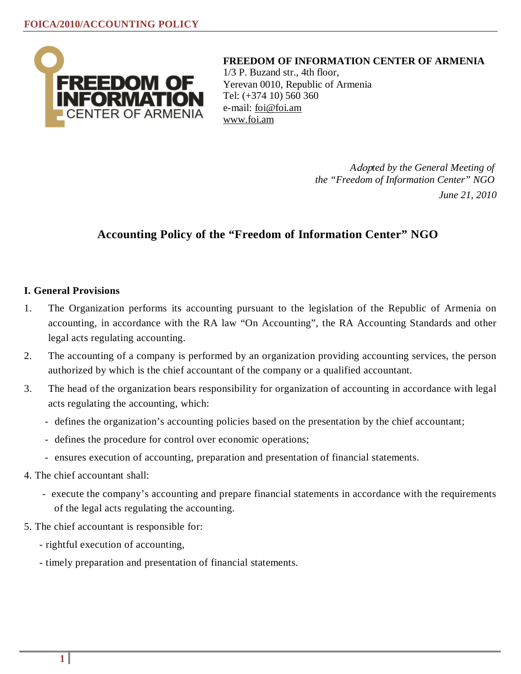

**FREEDOM OF INFORMATION CENTER OF ARMENIA**

1/3 P. Buzand str., 4th floor, Yerevan 0010, Republic of Armenia Tel: (+374 10) 560 360 e-mail: [foi@foi.am](mailto:foi@foi.am) [www.foi.am](http://www.foi.am/)

> *A*dop*ted by the General Meeting of the "Freedom of Information Center" NGO June 21, 2010*

# **Accounting Policy of the "Freedom of Information Center" NGO**

# **I. General Provisions**

- 1. The Organization performs its accounting pursuant to the legislation of the Republic of Armenia on accounting, in accordance with the RA law "On Accounting", the RA Accounting Standards and other legal acts regulating accounting.
- 2. The accounting of a company is performed by an organization providing accounting services, the person authorized by which is the chief accountant of the company or a qualified accountant.
- 3. The head of the organization bears responsibility for organization of accounting in accordance with legal acts regulating the accounting, which:
	- defines the organization's accounting policies based on the presentation by the chief accountant;
	- defines the procedure for control over economic operations;
	- ensures execution of accounting, preparation and presentation of financial statements.
- 4. The chief accountant shall:
	- execute the company's accounting and prepare financial statements in accordance with the requirements of the legal acts regulating the accounting.
- 5. The chief accountant is responsible for:
	- rightful execution of accounting,
	- timely preparation and presentation of financial statements.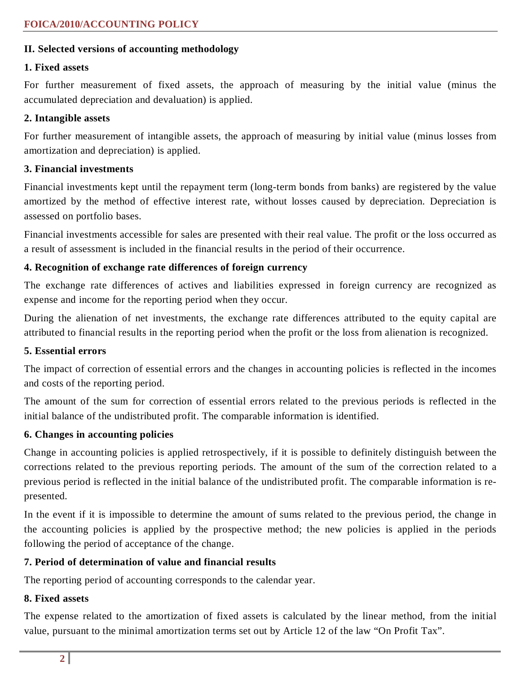# **II. Selected versions of accounting methodology**

#### **1. Fixed assets**

For further measurement of fixed assets, the approach of measuring by the initial value (minus the accumulated depreciation and devaluation) is applied.

#### **2. Intangible assets**

For further measurement of intangible assets, the approach of measuring by initial value (minus losses from amortization and depreciation) is applied.

# **3. Financial investments**

Financial investments kept until the repayment term (long-term bonds from banks) are registered by the value amortized by the method of effective interest rate, without losses caused by depreciation. Depreciation is assessed on portfolio bases.

Financial investments accessible for sales are presented with their real value. The profit or the loss occurred as a result of assessment is included in the financial results in the period of their occurrence.

# **4. Recognition of exchange rate differences of foreign currency**

The exchange rate differences of actives and liabilities expressed in foreign currency are recognized as expense and income for the reporting period when they occur.

During the alienation of net investments, the exchange rate differences attributed to the equity capital are attributed to financial results in the reporting period when the profit or the loss from alienation is recognized.

# **5. Essential errors**

The impact of correction of essential errors and the changes in accounting policies is reflected in the incomes and costs of the reporting period.

The amount of the sum for correction of essential errors related to the previous periods is reflected in the initial balance of the undistributed profit. The comparable information is identified.

# **6. Changes in accounting policies**

Change in accounting policies is applied retrospectively, if it is possible to definitely distinguish between the corrections related to the previous reporting periods. The amount of the sum of the correction related to a previous period is reflected in the initial balance of the undistributed profit. The comparable information is represented.

In the event if it is impossible to determine the amount of sums related to the previous period, the change in the accounting policies is applied by the prospective method; the new policies is applied in the periods following the period of acceptance of the change.

# **7. Period of determination of value and financial results**

The reporting period of accounting corresponds to the calendar year.

# **8. Fixed assets**

The expense related to the amortization of fixed assets is calculated by the linear method, from the initial value, pursuant to the minimal amortization terms set out by Article 12 of the law "On Profit Tax".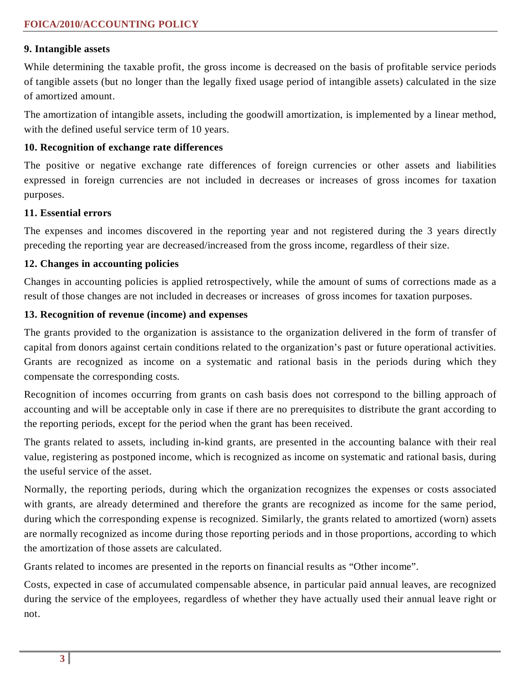# **9. Intangible assets**

While determining the taxable profit, the gross income is decreased on the basis of profitable service periods of tangible assets (but no longer than the legally fixed usage period of intangible assets) calculated in the size of amortized amount.

The amortization of intangible assets, including the goodwill amortization, is implemented by a linear method, with the defined useful service term of 10 years.

#### **10. Recognition of exchange rate differences**

The positive or negative exchange rate differences of foreign currencies or other assets and liabilities expressed in foreign currencies are not included in decreases or increases of gross incomes for taxation purposes.

#### **11. Essential errors**

The expenses and incomes discovered in the reporting year and not registered during the 3 years directly preceding the reporting year are decreased/increased from the gross income, regardless of their size.

#### **12. Changes in accounting policies**

Changes in accounting policies is applied retrospectively, while the amount of sums of corrections made as a result of those changes are not included in decreases or increases of gross incomes for taxation purposes.

#### **13. Recognition of revenue (income) and expenses**

The grants provided to the organization is assistance to the organization delivered in the form of transfer of capital from donors against certain conditions related to the organization's past or future operational activities. Grants are recognized as income on a systematic and rational basis in the periods during which they compensate the corresponding costs.

Recognition of incomes occurring from grants on cash basis does not correspond to the billing approach of accounting and will be acceptable only in case if there are no prerequisites to distribute the grant according to the reporting periods, except for the period when the grant has been received.

The grants related to assets, including in-kind grants, are presented in the accounting balance with their real value, registering as postponed income, which is recognized as income on systematic and rational basis, during the useful service of the asset.

Normally, the reporting periods, during which the organization recognizes the expenses or costs associated with grants, are already determined and therefore the grants are recognized as income for the same period, during which the corresponding expense is recognized. Similarly, the grants related to amortized (worn) assets are normally recognized as income during those reporting periods and in those proportions, according to which the amortization of those assets are calculated.

Grants related to incomes are presented in the reports on financial results as "Other income".

Costs, expected in case of accumulated compensable absence, in particular paid annual leaves, are recognized during the service of the employees, regardless of whether they have actually used their annual leave right or not.